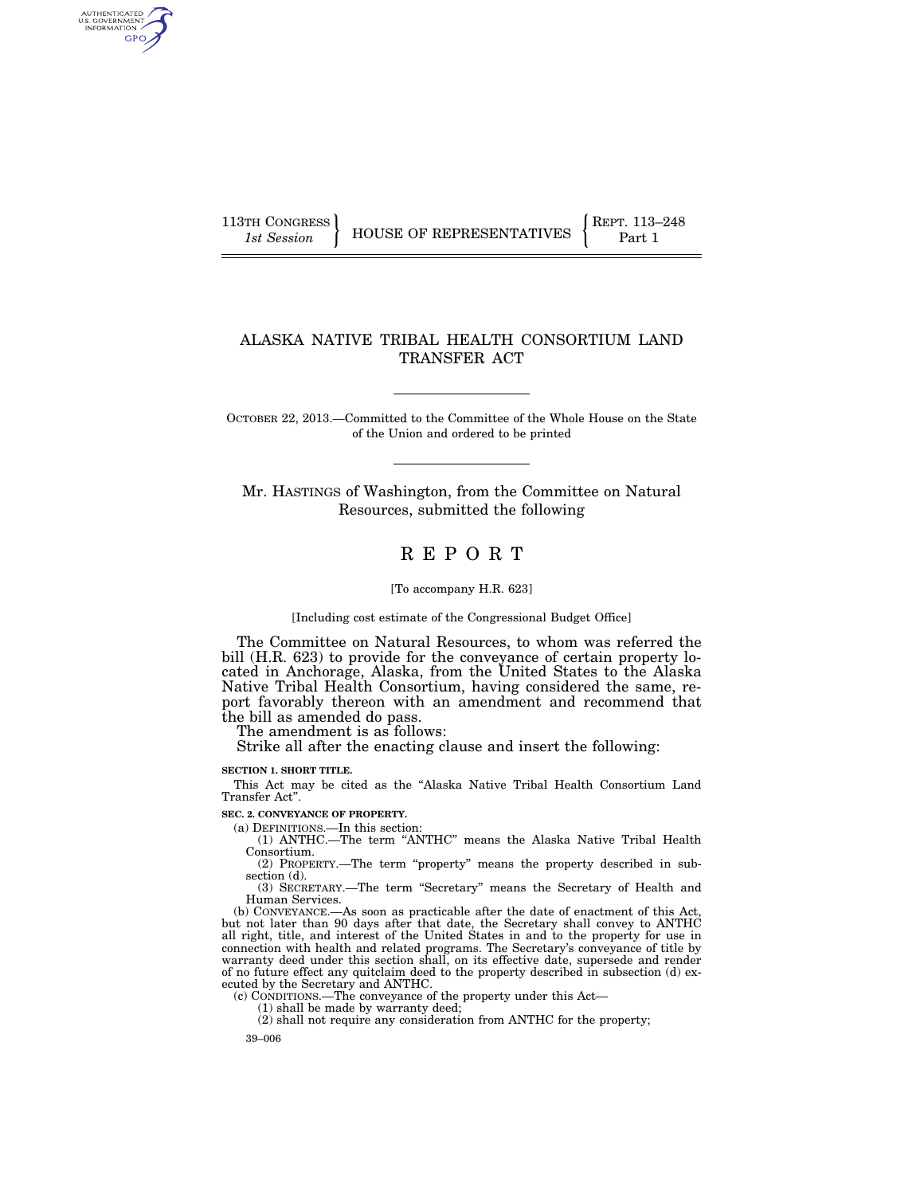AUTHENTICATED<br>U.S. GOVERNMENT<br>INFORMATION GPO

113TH CONGRESS **REPRESENTATIVES** REPRESENTATIVES **Part 1** 

## ALASKA NATIVE TRIBAL HEALTH CONSORTIUM LAND TRANSFER ACT

OCTOBER 22, 2013.—Committed to the Committee of the Whole House on the State of the Union and ordered to be printed

Mr. HASTINGS of Washington, from the Committee on Natural Resources, submitted the following

## R E P O R T

#### [To accompany H.R. 623]

[Including cost estimate of the Congressional Budget Office]

The Committee on Natural Resources, to whom was referred the bill (H.R. 623) to provide for the conveyance of certain property located in Anchorage, Alaska, from the United States to the Alaska Native Tribal Health Consortium, having considered the same, report favorably thereon with an amendment and recommend that the bill as amended do pass.

The amendment is as follows:

Strike all after the enacting clause and insert the following:

**SECTION 1. SHORT TITLE.** 

This Act may be cited as the ''Alaska Native Tribal Health Consortium Land Transfer Act''.

**SEC. 2. CONVEYANCE OF PROPERTY.** 

(a) DEFINITIONS.—In this section:

(1) ANTHC.—The term ''ANTHC'' means the Alaska Native Tribal Health Consortium.

(2) PROPERTY.—The term ''property'' means the property described in subsection (d).

(3) SECRETARY.—The term ''Secretary'' means the Secretary of Health and Human Services.

(b) CONVEYANCE.—As soon as practicable after the date of enactment of this Act, but not later than 90 days after that date, the Secretary shall convey to ANTHC all right, title, and interest of the United States in and to the property for use in connection with health and related programs. The Secretary's conveyance of title by warranty deed under this section shall, on its effective date, supersede and render of no future effect any quitclaim deed to the property described in subsection (d) executed by the Secretary and ANTHC.

(c) CONDITIONS.—The conveyance of the property under this Act—

(1) shall be made by warranty deed;

(2) shall not require any consideration from ANTHC for the property;

39–006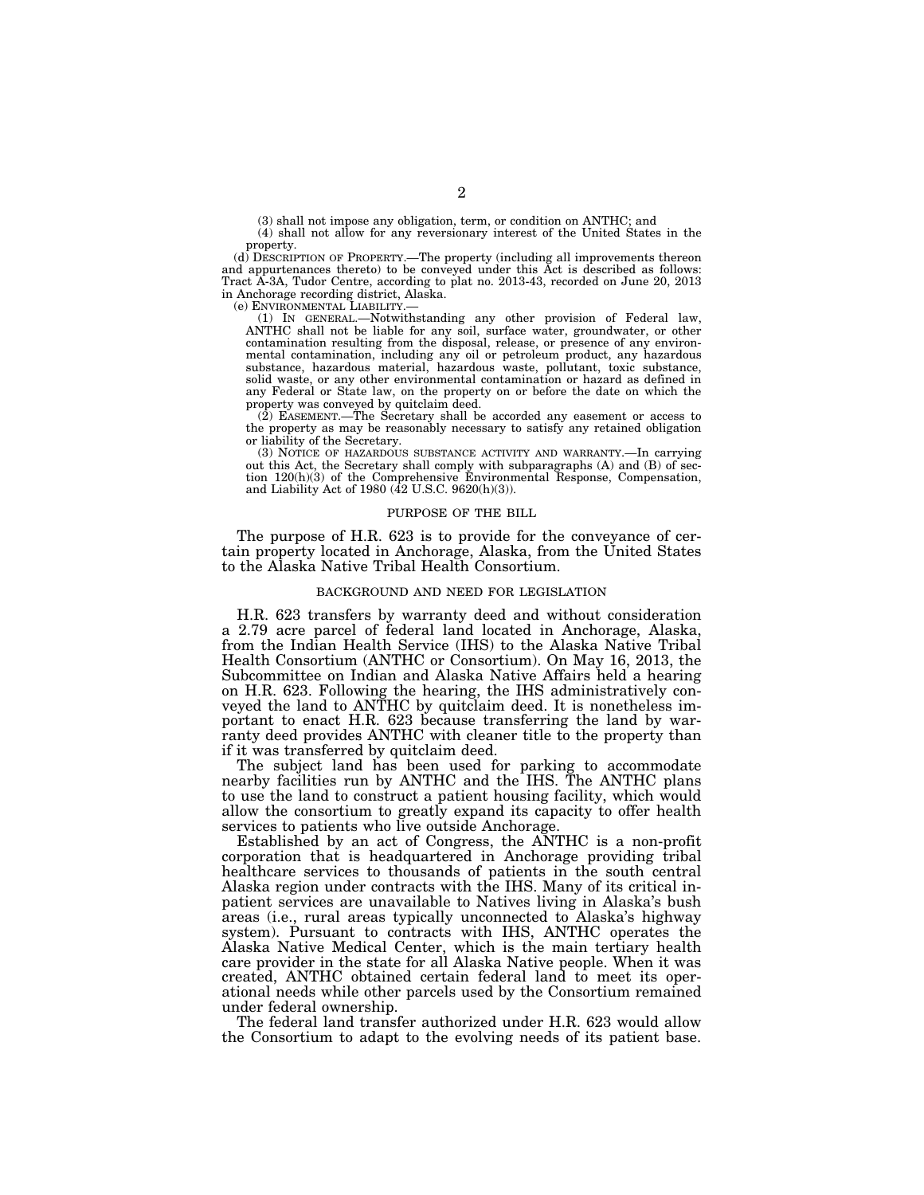(3) shall not impose any obligation, term, or condition on ANTHC; and (4) shall not allow for any reversionary interest of the United States in the

property. (d) DESCRIPTION OF PROPERTY.—The property (including all improvements thereon and appurtenances thereto) to be conveyed under this Act is described as follows: Tract A-3A, Tudor Centre, according to plat no. 2013-43, recorded on June 20, 2013 in Anchorage recording district, Alaska.

(e) ENVIRONMENTAL LIABILITY.—

(1) IN GENERAL.—Notwithstanding any other provision of Federal law, ANTHC shall not be liable for any soil, surface water, groundwater, or other contamination resulting from the disposal, release, or presence of any environmental contamination, including any oil or petroleum product, any hazardous substance, hazardous material, hazardous waste, pollutant, toxic substance, solid waste, or any other environmental contamination or hazard as defined in any Federal or State law, on the property on or before the date on which the property was conveyed by quitclaim deed.

(2) EASEMENT.—The Secretary shall be accorded any easement or access to the property as may be reasonably necessary to satisfy any retained obligation or liability of the Secretary.

(3) NOTICE OF HAZARDOUS SUBSTANCE ACTIVITY AND WARRANTY.—In carrying out this Act, the Secretary shall comply with subparagraphs (A) and (B) of section 120(h)(3) of the Comprehensive Environmental Response, Compensation, and Liability Act of 1980 (42 U.S.C. 9620(h)(3)).

#### PURPOSE OF THE BILL

The purpose of H.R. 623 is to provide for the conveyance of certain property located in Anchorage, Alaska, from the United States to the Alaska Native Tribal Health Consortium.

#### BACKGROUND AND NEED FOR LEGISLATION

H.R. 623 transfers by warranty deed and without consideration a 2.79 acre parcel of federal land located in Anchorage, Alaska, from the Indian Health Service (IHS) to the Alaska Native Tribal Health Consortium (ANTHC or Consortium). On May 16, 2013, the Subcommittee on Indian and Alaska Native Affairs held a hearing on H.R. 623. Following the hearing, the IHS administratively conveyed the land to ANTHC by quitclaim deed. It is nonetheless important to enact H.R. 623 because transferring the land by warranty deed provides ANTHC with cleaner title to the property than if it was transferred by quitclaim deed.

The subject land has been used for parking to accommodate nearby facilities run by ANTHC and the IHS. The ANTHC plans to use the land to construct a patient housing facility, which would allow the consortium to greatly expand its capacity to offer health services to patients who live outside Anchorage.

Established by an act of Congress, the ANTHC is a non-profit corporation that is headquartered in Anchorage providing tribal healthcare services to thousands of patients in the south central Alaska region under contracts with the IHS. Many of its critical inpatient services are unavailable to Natives living in Alaska's bush areas (i.e., rural areas typically unconnected to Alaska's highway system). Pursuant to contracts with IHS, ANTHC operates the Alaska Native Medical Center, which is the main tertiary health care provider in the state for all Alaska Native people. When it was created, ANTHC obtained certain federal land to meet its operational needs while other parcels used by the Consortium remained under federal ownership.

The federal land transfer authorized under H.R. 623 would allow the Consortium to adapt to the evolving needs of its patient base.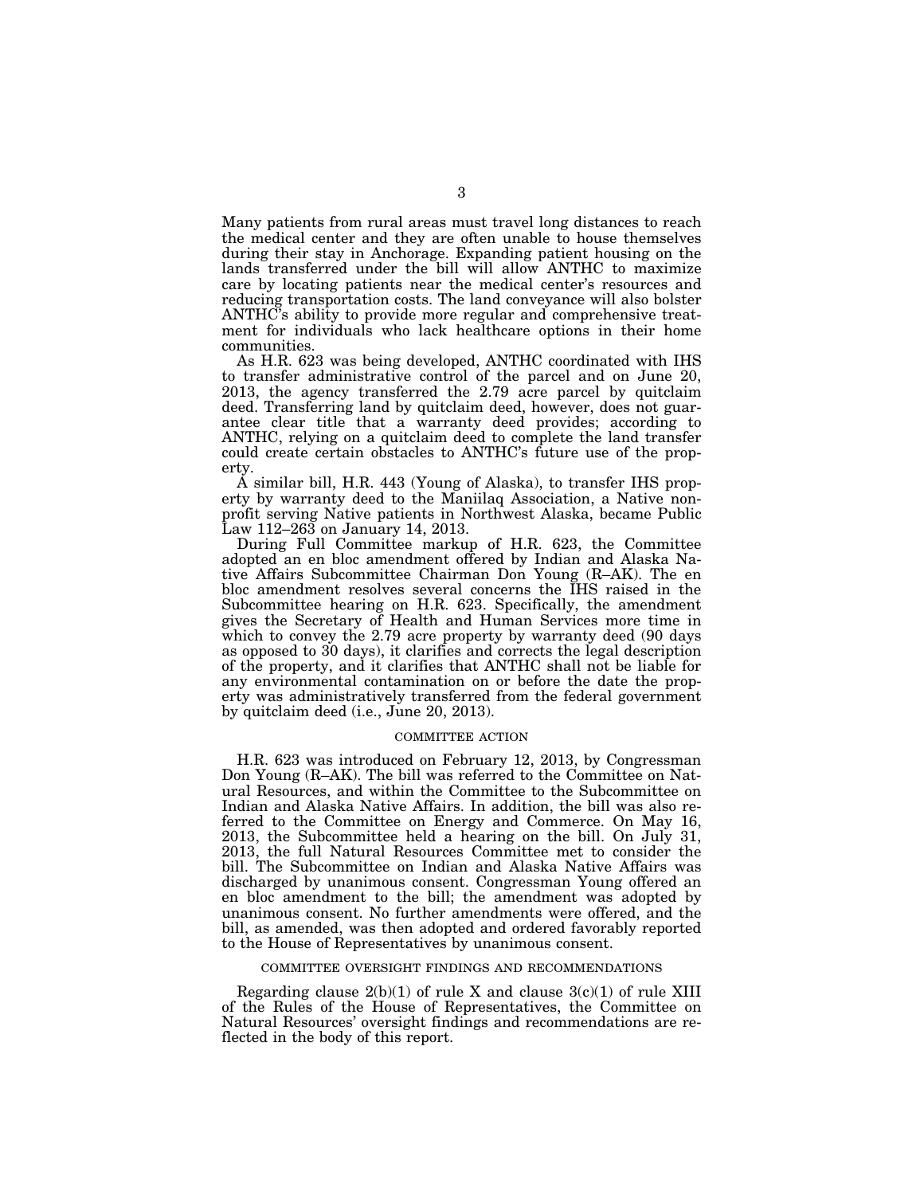Many patients from rural areas must travel long distances to reach the medical center and they are often unable to house themselves during their stay in Anchorage. Expanding patient housing on the lands transferred under the bill will allow ANTHC to maximize care by locating patients near the medical center's resources and reducing transportation costs. The land conveyance will also bolster ANTHC's ability to provide more regular and comprehensive treatment for individuals who lack healthcare options in their home communities.

As H.R. 623 was being developed, ANTHC coordinated with IHS to transfer administrative control of the parcel and on June 20, 2013, the agency transferred the 2.79 acre parcel by quitclaim deed. Transferring land by quitclaim deed, however, does not guarantee clear title that a warranty deed provides; according to ANTHC, relying on a quitclaim deed to complete the land transfer could create certain obstacles to ANTHC's future use of the property.

A similar bill, H.R. 443 (Young of Alaska), to transfer IHS property by warranty deed to the Maniilaq Association, a Native nonprofit serving Native patients in Northwest Alaska, became Public Law 112–263 on January 14, 2013.

During Full Committee markup of H.R. 623, the Committee adopted an en bloc amendment offered by Indian and Alaska Native Affairs Subcommittee Chairman Don Young (R–AK). The en bloc amendment resolves several concerns the IHS raised in the Subcommittee hearing on H.R. 623. Specifically, the amendment gives the Secretary of Health and Human Services more time in which to convey the 2.79 acre property by warranty deed (90 days as opposed to 30 days), it clarifies and corrects the legal description of the property, and it clarifies that ANTHC shall not be liable for any environmental contamination on or before the date the property was administratively transferred from the federal government by quitclaim deed (i.e., June 20, 2013).

### COMMITTEE ACTION

H.R. 623 was introduced on February 12, 2013, by Congressman Don Young (R–AK). The bill was referred to the Committee on Natural Resources, and within the Committee to the Subcommittee on Indian and Alaska Native Affairs. In addition, the bill was also referred to the Committee on Energy and Commerce. On May 16, 2013, the Subcommittee held a hearing on the bill. On July 31, 2013, the full Natural Resources Committee met to consider the bill. The Subcommittee on Indian and Alaska Native Affairs was discharged by unanimous consent. Congressman Young offered an en bloc amendment to the bill; the amendment was adopted by unanimous consent. No further amendments were offered, and the bill, as amended, was then adopted and ordered favorably reported to the House of Representatives by unanimous consent.

#### COMMITTEE OVERSIGHT FINDINGS AND RECOMMENDATIONS

Regarding clause  $2(b)(1)$  of rule X and clause  $3(c)(1)$  of rule XIII of the Rules of the House of Representatives, the Committee on Natural Resources' oversight findings and recommendations are reflected in the body of this report.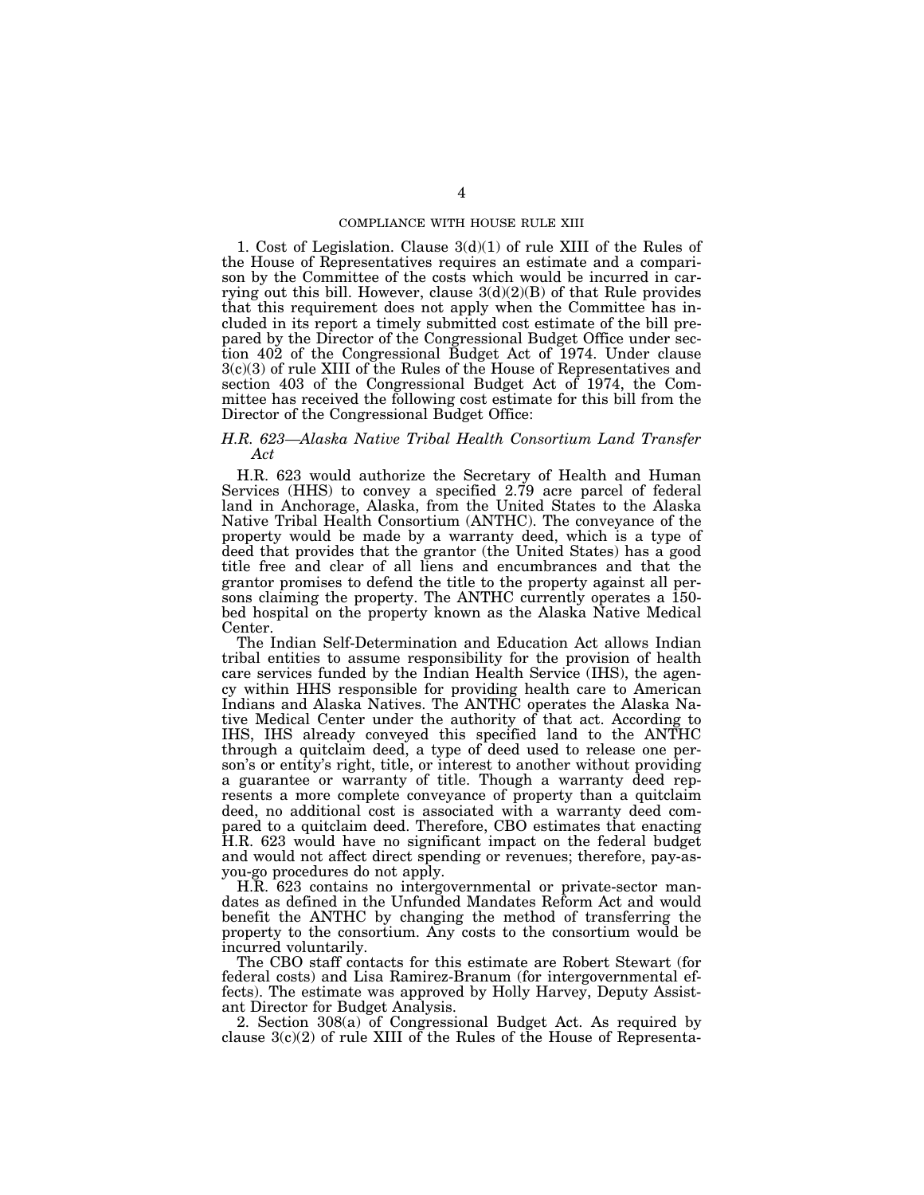### COMPLIANCE WITH HOUSE RULE XIII

1. Cost of Legislation. Clause 3(d)(1) of rule XIII of the Rules of the House of Representatives requires an estimate and a comparison by the Committee of the costs which would be incurred in carrying out this bill. However, clause  $3(d)(2)(B)$  of that Rule provides that this requirement does not apply when the Committee has included in its report a timely submitted cost estimate of the bill prepared by the Director of the Congressional Budget Office under section 402 of the Congressional Budget Act of 1974. Under clause 3(c)(3) of rule XIII of the Rules of the House of Representatives and section 403 of the Congressional Budget Act of 1974, the Committee has received the following cost estimate for this bill from the Director of the Congressional Budget Office:

## *H.R. 623—Alaska Native Tribal Health Consortium Land Transfer Act*

H.R. 623 would authorize the Secretary of Health and Human Services (HHS) to convey a specified 2.79 acre parcel of federal land in Anchorage, Alaska, from the United States to the Alaska Native Tribal Health Consortium (ANTHC). The conveyance of the property would be made by a warranty deed, which is a type of deed that provides that the grantor (the United States) has a good title free and clear of all liens and encumbrances and that the grantor promises to defend the title to the property against all persons claiming the property. The ANTHC currently operates a 150 bed hospital on the property known as the Alaska Native Medical Center.

The Indian Self-Determination and Education Act allows Indian tribal entities to assume responsibility for the provision of health care services funded by the Indian Health Service (IHS), the agency within HHS responsible for providing health care to American Indians and Alaska Natives. The ANTHC operates the Alaska Native Medical Center under the authority of that act. According to IHS, IHS already conveyed this specified land to the ANTHC through a quitclaim deed, a type of deed used to release one person's or entity's right, title, or interest to another without providing a guarantee or warranty of title. Though a warranty deed represents a more complete conveyance of property than a quitclaim deed, no additional cost is associated with a warranty deed compared to a quitclaim deed. Therefore, CBO estimates that enacting H.R. 623 would have no significant impact on the federal budget and would not affect direct spending or revenues; therefore, pay-asyou-go procedures do not apply.

H.R. 623 contains no intergovernmental or private-sector mandates as defined in the Unfunded Mandates Reform Act and would benefit the ANTHC by changing the method of transferring the property to the consortium. Any costs to the consortium would be incurred voluntarily.

The CBO staff contacts for this estimate are Robert Stewart (for federal costs) and Lisa Ramirez-Branum (for intergovernmental effects). The estimate was approved by Holly Harvey, Deputy Assistant Director for Budget Analysis.

2. Section 308(a) of Congressional Budget Act. As required by clause  $3(c)(2)$  of rule XIII of the Rules of the House of Representa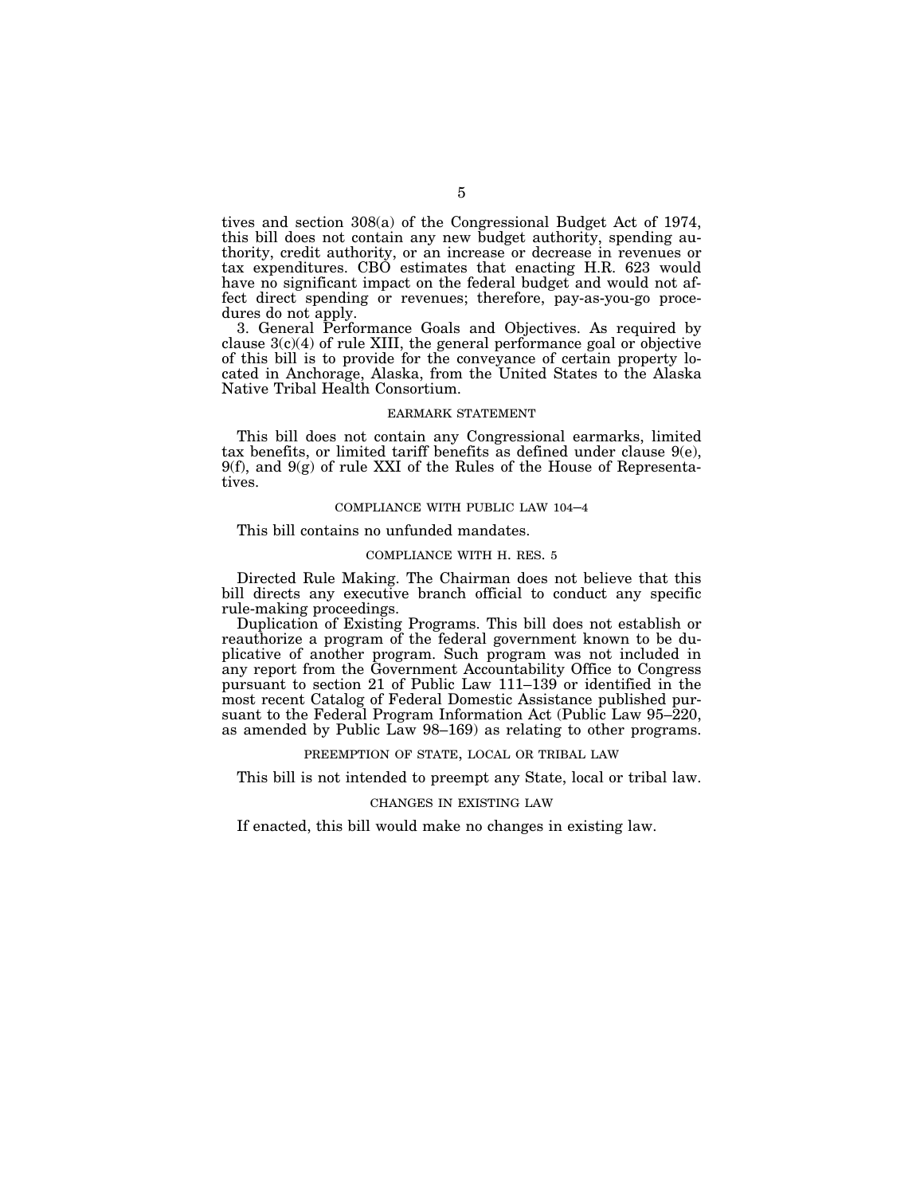tives and section 308(a) of the Congressional Budget Act of 1974, this bill does not contain any new budget authority, spending authority, credit authority, or an increase or decrease in revenues or tax expenditures. CBO estimates that enacting H.R. 623 would have no significant impact on the federal budget and would not affect direct spending or revenues; therefore, pay-as-you-go procedures do not apply.

3. General Performance Goals and Objectives. As required by clause  $3(c)(4)$  of rule XIII, the general performance goal or objective of this bill is to provide for the conveyance of certain property located in Anchorage, Alaska, from the United States to the Alaska Native Tribal Health Consortium.

#### EARMARK STATEMENT

This bill does not contain any Congressional earmarks, limited tax benefits, or limited tariff benefits as defined under clause  $9(e)$ ,  $9(f)$ , and  $9(g)$  of rule XXI of the Rules of the House of Representatives.

## COMPLIANCE WITH PUBLIC LAW 104–4

This bill contains no unfunded mandates.

## COMPLIANCE WITH H. RES. 5

Directed Rule Making. The Chairman does not believe that this bill directs any executive branch official to conduct any specific rule-making proceedings.

Duplication of Existing Programs. This bill does not establish or reauthorize a program of the federal government known to be duplicative of another program. Such program was not included in any report from the Government Accountability Office to Congress pursuant to section 21 of Public Law 111–139 or identified in the most recent Catalog of Federal Domestic Assistance published pursuant to the Federal Program Information Act (Public Law 95–220, as amended by Public Law 98–169) as relating to other programs.

## PREEMPTION OF STATE, LOCAL OR TRIBAL LAW

This bill is not intended to preempt any State, local or tribal law.

#### CHANGES IN EXISTING LAW

If enacted, this bill would make no changes in existing law.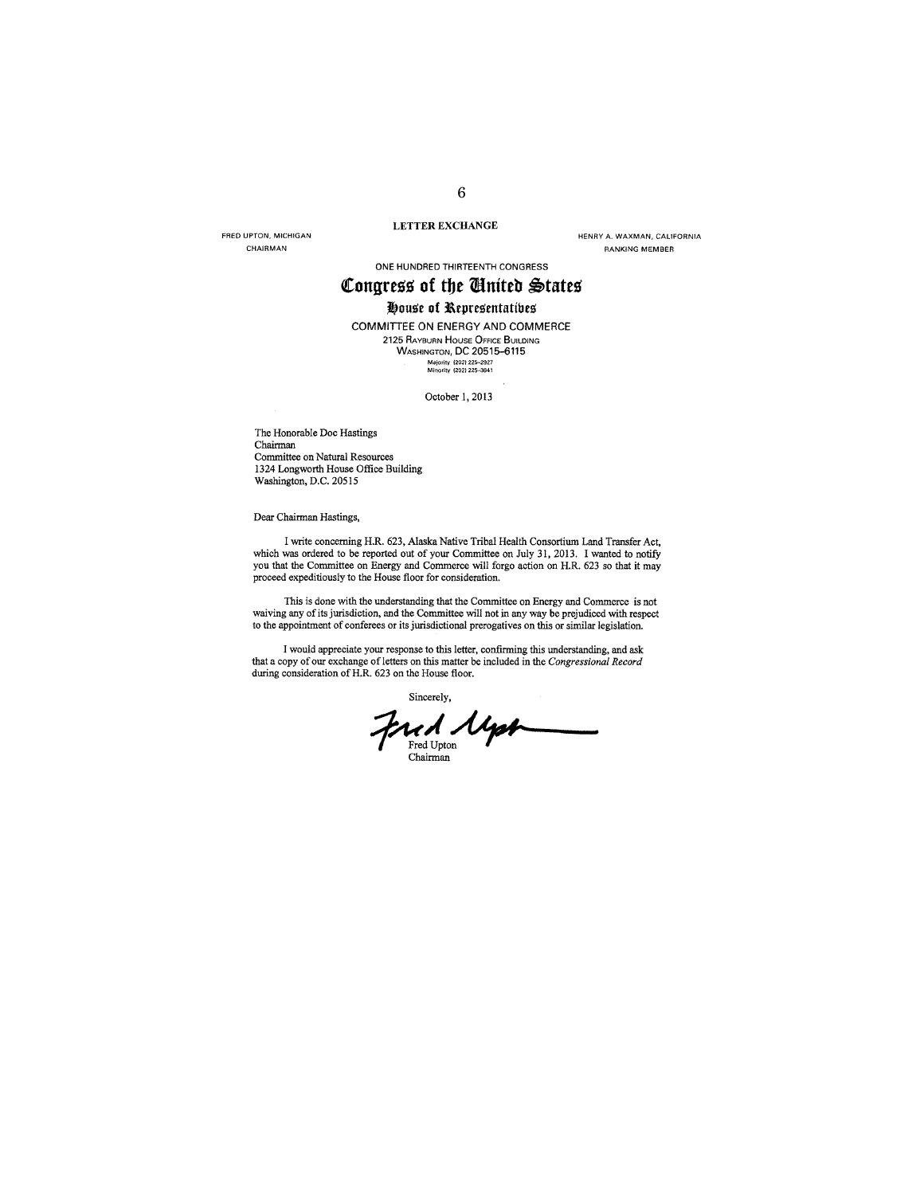**FREO UPTON, MICHIGAN CHAIRMAN** 

## LETTER EXCHANGE

**HENRY A. WAXMAN, CALIFORNIA RANKING MEMBER** 

ONE HUNDRED THIRTEENTH CONGRESS

Congress of the *Congres* 

# **House of Representatibes**

COMMIITEE ON ENERGY AND COMMERCE 2125 RAYBURN HOUSE OFFICE BUILDING WASHINGTON, DC 20515-6115 Majority (202) 225–2927<br>Minority (202) 225–3641

October I, 2013

The Honorable Doc Hastings Chairman Committee on Natural Resources 1324 Longworth House Office Building Washington, D.C. 20515

Dear Chairman Hastings,

I write concerning H.R. 623, Alaska Native Tribal Health Consortium Land Transfer Act, which was ordered to be reported out of your Committee on July 31, 2013. I wanted to notify you that the Committee on Energy and Commerce will forgo action on H.R. 623 so that it may proceed expeditiously to the House floor for consideration.

This is done with the understanding that the Committee on Energy and Commerce is not waiving any of its jurisdiction, and the Committee will not in any way be prejudiced with respect to the appointment of conferees or its jurisdictional prerogatives on this or similar legislation.

I would appreciate your response to this letter, confirming this understanding, and ask that a copy of our exchange of letters on this matter be included in the *Congressional Record* during consideration of H.R. 623 on the House floor.

Sincerely, Frid Uph Chairman